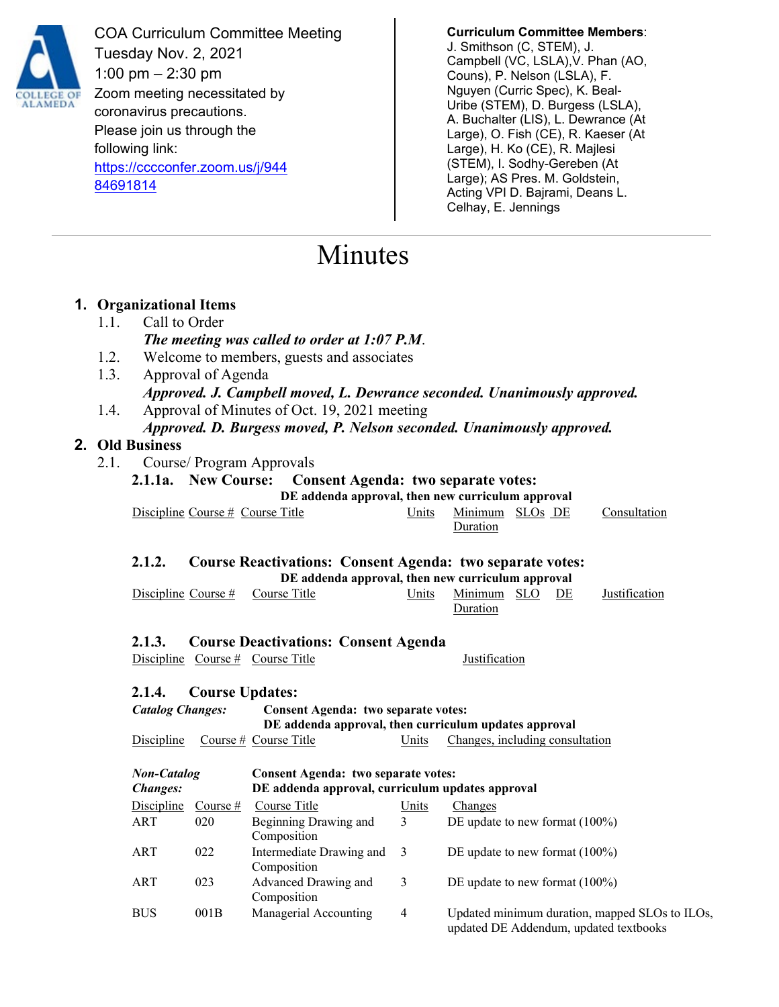

COA Curriculum Committee Meeting Tuesday Nov. 2, 2021 1:00 pm – 2:30 pm Zoom meeting necessitated by coronavirus precautions. Please join us through the following link: [https://cccconfer.zoom.us/j/944](https://cccconfer.zoom.us/j/94484691814) [84691814](https://cccconfer.zoom.us/j/94484691814)

**Curriculum Committee Members**: J. Smithson (C, STEM), J. Campbell (VC, LSLA),V. Phan (AO, Couns), P. Nelson (LSLA), F. Nguyen (Curric Spec), K. Beal-Uribe (STEM), D. Burgess (LSLA), A. Buchalter (LIS), L. Dewrance (At Large), O. Fish (CE), R. Kaeser (At Large), H. Ko (CE), R. Majlesi (STEM), I. Sodhy-Gereben (At Large); AS Pres. M. Goldstein, Acting VPI D. Bajrami, Deans L. Celhay, E. Jennings

updated DE Addendum, updated textbooks

# Minutes

|                                  |                                                                                                                                | 1. Organizational Items                                                                                                |                    |                                                                  |                |                                                                          |  |  |  |  |
|----------------------------------|--------------------------------------------------------------------------------------------------------------------------------|------------------------------------------------------------------------------------------------------------------------|--------------------|------------------------------------------------------------------|----------------|--------------------------------------------------------------------------|--|--|--|--|
|                                  | 1.1.                                                                                                                           | Call to Order                                                                                                          |                    |                                                                  |                |                                                                          |  |  |  |  |
|                                  |                                                                                                                                | The meeting was called to order at 1:07 P.M.                                                                           |                    |                                                                  |                |                                                                          |  |  |  |  |
|                                  | 1.2.<br>Welcome to members, guests and associates                                                                              |                                                                                                                        |                    |                                                                  |                |                                                                          |  |  |  |  |
|                                  | 1.3.                                                                                                                           |                                                                                                                        | Approval of Agenda |                                                                  |                |                                                                          |  |  |  |  |
|                                  |                                                                                                                                |                                                                                                                        |                    |                                                                  |                | Approved. J. Campbell moved, L. Dewrance seconded. Unanimously approved. |  |  |  |  |
|                                  | 1.4.<br>Approval of Minutes of Oct. 19, 2021 meeting                                                                           |                                                                                                                        |                    |                                                                  |                |                                                                          |  |  |  |  |
|                                  |                                                                                                                                |                                                                                                                        |                    |                                                                  |                | Approved. D. Burgess moved, P. Nelson seconded. Unanimously approved.    |  |  |  |  |
| 2. Old Business                  |                                                                                                                                |                                                                                                                        |                    |                                                                  |                |                                                                          |  |  |  |  |
|                                  | 2.1.                                                                                                                           |                                                                                                                        |                    | Course/ Program Approvals                                        |                |                                                                          |  |  |  |  |
|                                  |                                                                                                                                | 2.1.1a. New Course:<br><b>Consent Agenda: two separate votes:</b><br>DE addenda approval, then new curriculum approval |                    |                                                                  |                |                                                                          |  |  |  |  |
|                                  |                                                                                                                                |                                                                                                                        |                    |                                                                  |                |                                                                          |  |  |  |  |
|                                  |                                                                                                                                | Discipline Course # Course Title                                                                                       |                    |                                                                  | Units          | Minimum SLOs DE<br>Consultation<br>Duration                              |  |  |  |  |
|                                  |                                                                                                                                |                                                                                                                        |                    |                                                                  |                |                                                                          |  |  |  |  |
|                                  |                                                                                                                                | 2.1.2.                                                                                                                 |                    | <b>Course Reactivations: Consent Agenda: two separate votes:</b> |                |                                                                          |  |  |  |  |
|                                  |                                                                                                                                | DE addenda approval, then new curriculum approval                                                                      |                    |                                                                  |                |                                                                          |  |  |  |  |
|                                  |                                                                                                                                | Discipline Course #                                                                                                    |                    | Course Title                                                     | Units          | Minimum SLO<br><b>Justification</b><br>DE                                |  |  |  |  |
|                                  |                                                                                                                                |                                                                                                                        |                    |                                                                  |                | Duration                                                                 |  |  |  |  |
|                                  |                                                                                                                                |                                                                                                                        |                    |                                                                  |                |                                                                          |  |  |  |  |
|                                  | 2.1.3.<br><b>Course Deactivations: Consent Agenda</b>                                                                          |                                                                                                                        |                    |                                                                  |                |                                                                          |  |  |  |  |
|                                  |                                                                                                                                |                                                                                                                        |                    | Discipline Course # Course Title                                 |                | Justification                                                            |  |  |  |  |
|                                  |                                                                                                                                |                                                                                                                        |                    |                                                                  |                |                                                                          |  |  |  |  |
| 2.1.4.<br><b>Course Updates:</b> |                                                                                                                                |                                                                                                                        |                    |                                                                  |                |                                                                          |  |  |  |  |
|                                  | <b>Catalog Changes:</b><br><b>Consent Agenda: two separate votes:</b><br>DE addenda approval, then curriculum updates approval |                                                                                                                        |                    |                                                                  |                |                                                                          |  |  |  |  |
|                                  |                                                                                                                                | Discipline                                                                                                             |                    | Course # Course Title                                            | Units          | Changes, including consultation                                          |  |  |  |  |
|                                  |                                                                                                                                |                                                                                                                        |                    |                                                                  |                |                                                                          |  |  |  |  |
|                                  |                                                                                                                                | <b>Non-Catalog</b>                                                                                                     |                    | <b>Consent Agenda: two separate votes:</b>                       |                |                                                                          |  |  |  |  |
|                                  |                                                                                                                                | <b>Changes:</b>                                                                                                        |                    | DE addenda approval, curriculum updates approval                 |                |                                                                          |  |  |  |  |
|                                  |                                                                                                                                | Discipline                                                                                                             | Course $#$         | Course Title                                                     | Units          | Changes                                                                  |  |  |  |  |
|                                  |                                                                                                                                | <b>ART</b>                                                                                                             | 020                | Beginning Drawing and<br>Composition                             | 3              | DE update to new format (100%)                                           |  |  |  |  |
|                                  |                                                                                                                                | <b>ART</b>                                                                                                             | 022                | Intermediate Drawing and<br>Composition                          | $\mathfrak{Z}$ | DE update to new format (100%)                                           |  |  |  |  |
|                                  |                                                                                                                                | ART                                                                                                                    | 023                | Advanced Drawing and<br>Composition                              | 3              | DE update to new format (100%)                                           |  |  |  |  |
|                                  |                                                                                                                                | <b>BUS</b>                                                                                                             | 001B               | Managerial Accounting                                            | $\overline{4}$ | Updated minimum duration, mapped SLOs to ILOs,                           |  |  |  |  |